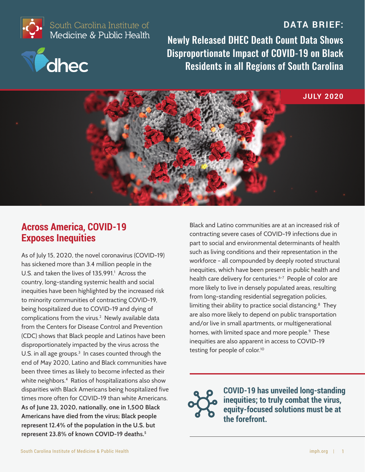#### **DATA BRIEF:**



South Carolina Institute of<br>Medicine & Public Health



Newly Released DHEC Death Count Data Shows Disproportionate Impact of COVID-19 on Black Residents in all Regions of South Carolina



### **Across America, COVID-19 Exposes Inequities**

As of July 15, 2020, the novel coronavirus (COVID-19) has sickened more than 3.4 million people in the U.S. and taken the lives of 135,991.<sup>1</sup> Across the country, long-standing systemic health and social inequities have been highlighted by the increased risk to minority communities of contracting COVID-19, being hospitalized due to COVID-19 and dying of complications from the virus.<sup>2</sup> Newly available data from the Centers for Disease Control and Prevention (CDC) shows that Black people and Latinos have been disproportionately impacted by the virus across the U.S. in all age groups. $3\,$  In cases counted through the end of May 2020, Latino and Black communities have been three times as likely to become infected as their white neighbors.<sup>4</sup> Ratios of hospitalizations also show disparities with Black Americans being hospitalized five times more often for COVID-19 than white Americans. **As of June 23, 2020, nationally, one in 1,500 Black Americans have died from the virus; Black people represent 12.4% of the population in the U.S. but represent 23.8% of known COVID-19 deaths.<sup>5</sup>**

Black and Latino communities are at an increased risk of contracting severe cases of COVID-19 infections due in part to social and environmental determinants of health such as living conditions and their representation in the workforce - all compounded by deeply rooted structural inequities, which have been present in public health and health care delivery for centuries.<sup>6-7</sup> People of color are more likely to live in densely populated areas, resulting from long-standing residential segregation policies, limiting their ability to practice social distancing.<sup>8</sup> They are also more likely to depend on public transportation and/or live in small apartments, or multigenerational homes, with limited space and more people.<sup>9</sup> These inequities are also apparent in access to COVID-19 testing for people of color.<sup>10</sup>

**COVID-19 has unveiled long-standing inequities; to truly combat the virus, equity-focused solutions must be at the forefront.**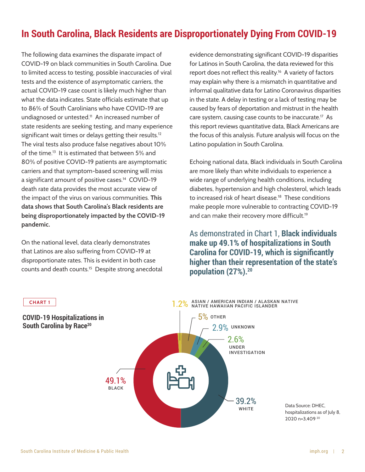## **In South Carolina, Black Residents are Disproportionately Dying From COVID-19**

The following data examines the disparate impact of COVID-19 on black communities in South Carolina. Due to limited access to testing, possible inaccuracies of viral tests and the existence of asymptomatic carriers, the actual COVID-19 case count is likely much higher than what the data indicates. State officials estimate that up to 86% of South Carolinians who have COVID-19 are undiagnosed or untested.<sup>11</sup> An increased number of state residents are seeking testing, and many experience significant wait times or delays getting their results. $^{12}$ The viral tests also produce false negatives about 10% of the time.<sup>13</sup> It is estimated that between 5% and 80% of positive COVID-19 patients are asymptomatic carriers and that symptom-based screening will miss a significant amount of positive cases.<sup>14</sup> COVID-19 death rate data provides the most accurate view of the impact of the virus on various communities. **This data shows that South Carolina's Black residents are being disproportionately impacted by the COVID-19 pandemic.** 

On the national level, data clearly demonstrates that Latinos are also suffering from COVID-19 at disproportionate rates. This is evident in both case counts and death counts.<sup>15</sup> Despite strong anecdotal

**CHART 1**

evidence demonstrating significant COVID-19 disparities for Latinos in South Carolina, the data reviewed for this report does not reflect this reality.<sup>16</sup> A variety of factors may explain why there is a mismatch in quantitative and informal qualitative data for Latino Coronavirus disparities in the state. A delay in testing or a lack of testing may be caused by fears of deportation and mistrust in the health care system, causing case counts to be inaccurate.<sup>17</sup> As this report reviews quantitative data, Black Americans are the focus of this analysis. Future analysis will focus on the Latino population in South Carolina.

Echoing national data, Black individuals in South Carolina are more likely than white individuals to experience a wide range of underlying health conditions, including diabetes, hypertension and high cholesterol, which leads to increased risk of heart disease.<sup>18</sup> These conditions make people more vulnerable to contracting COVID-19 and can make their recovery more difficult.<sup>19</sup>

As demonstrated in Chart 1, **Black individuals make up 49.1% of hospitalizations in South Carolina for COVID-19, which is significantly higher than their representation of the state's population (27%).<sup>20</sup>**



Data Source: DHEC, hospitalizations as of July 8, 2020 n=3,409 <sup>20</sup>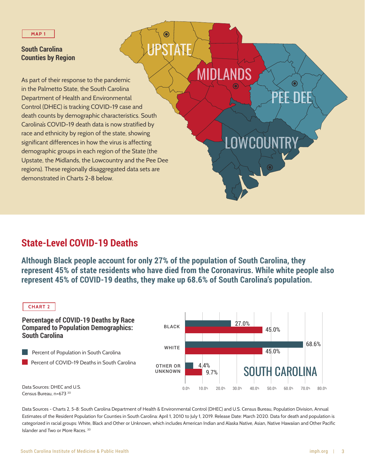#### **South Carolina Counties by Region**

death counts by demographic characteristics. South Carolina's COVID-19 death data is now stratified by race and ethnicity by region of the state, showing significant differences in how the virus is affecting demographic groups in each region of the State (the Upstate, the Midlands, the Lowcountry and the Pee Dee regions). These regionally disaggregated data sets are demonstrated in Charts 2-8 below. As part of their response to the pandemic in the Palmetto State, the South Carolina Department of Health and Environmental Control (DHEC) is tracking COVID-19 case and

## **State-Level COVID-19 Deaths**

**Although Black people account for only 27% of the population of South Carolina, they represent 45% of state residents who have died from the Coronavirus. While white people also represent 45% of COVID-19 deaths, they make up 68.6% of South Carolina's population.**

**UPSTATE** 

 $\mathbf{\Theta}$ 

MIDLANDS

PEE DEE

 $\bf{O}$ 

LOWCOUNTRY



Data Sources - Charts 2, 5-8: South Carolina Department of Health & Environmental Control (DHEC) and U.S. Census Bureau, Population Division, Annual Estimates of the Resident Population for Counties in South Carolina: April 1, 2010 to July 1, 2019. Release Date: March 2020. Data for death and population is categorized in racial groups: White, Black and Other or Unknown, which includes American Indian and Alaska Native, Asian, Native Hawaiian and Other Pacific Islander and Two or More Races. <sup>20</sup>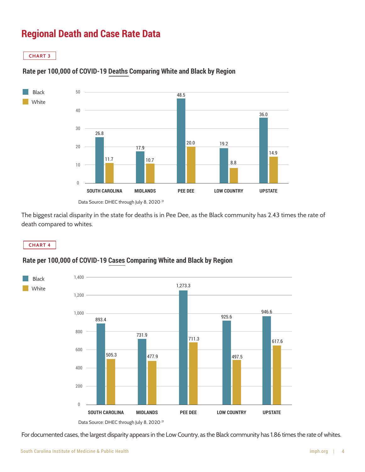# **Regional Death and Case Rate Data**

**CHART 3**



#### **Rate per 100,000 of COVID-19 Deaths Comparing White and Black by Region**

The biggest racial disparity in the state for deaths is in Pee Dee, as the Black community has 2.43 times the rate of death compared to whites.

**CHART 4**

#### **Rate per 100,000 of COVID-19 Cases Comparing White and Black by Region**



For documented cases, the largest disparity appears in the Low Country, as the Black community has 1.86 times the rate of whites.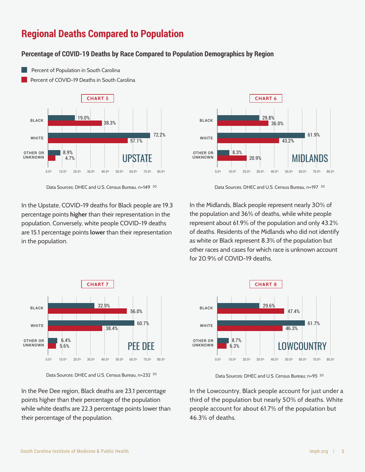# **Regional Deaths Compared to Population**

#### **Percentage of COVID-19 Deaths by Race Compared to Population Demographics by Region**

Percent of Population in South Carolina

Percent of COVID-19 Deaths in South Carolina



In the Upstate, COVID-19 deaths for Black people are 19.3 percentage points **higher** than their representation in the population. Conversely, white people COVID-19 deaths are 15.1 percentage points **lower** than their representation in the population.



Data Sources: DHEC and U.S. Census Bureau, n=149 <sup>20</sup> Data Sources: DHEC and U.S. Census Bureau, n=197 Data Sources: DHEC and U.S. Census Bureau, n=197 <sup>20</sup>

In the Midlands, Black people represent nearly 30% of the population and 36% of deaths, while white people represent about 61.9% of the population and only 43.2% of deaths. Residents of the Midlands who did not identify as white or Black represent 8.3% of the population but other races and cases for which race is unknown account for 20.9% of COVID-19 deaths.



Data Sources: DHEC and U.S. Census Bureau, n=232 <sup>20</sup> Data Sources: DHEC and U.S. Census Bureau: n=95 <sup>20</sup>

In the Pee Dee region, Black deaths are 23.1 percentage points higher than their percentage of the population while white deaths are 22.3 percentage points lower than their percentage of the population.



In the Lowcountry, Black people account for just under a third of the population but nearly 50% of deaths. White people account for about 61.7% of the population but 46.3% of deaths.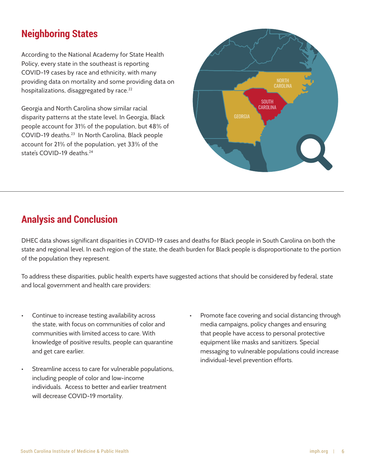## **Neighboring States**

According to the National Academy for State Health Policy, every state in the southeast is reporting COVID-19 cases by race and ethnicity, with many providing data on mortality and some providing data on hospitalizations, disaggregated by race. $^{22}$ 

Georgia and North Carolina show similar racial disparity patterns at the state level. In Georgia, Black people account for 31% of the population, but 48% of COVID-19 deaths.<sup>23</sup> In North Carolina, Black people account for 21% of the population, yet 33% of the state's COVID-19 deaths<sup>24</sup>



# **Analysis and Conclusion**

DHEC data shows significant disparities in COVID-19 cases and deaths for Black people in South Carolina on both the state and regional level. In each region of the state, the death burden for Black people is disproportionate to the portion of the population they represent.

To address these disparities, public health experts have suggested actions that should be considered by federal, state and local government and health care providers:

- Continue to increase testing availability across the state, with focus on communities of color and communities with limited access to care. With knowledge of positive results, people can quarantine and get care earlier.
- Streamline access to care for vulnerable populations, including people of color and low-income individuals. Access to better and earlier treatment will decrease COVID-19 mortality.
- Promote face covering and social distancing through media campaigns, policy changes and ensuring that people have access to personal protective equipment like masks and sanitizers. Special messaging to vulnerable populations could increase individual-level prevention efforts.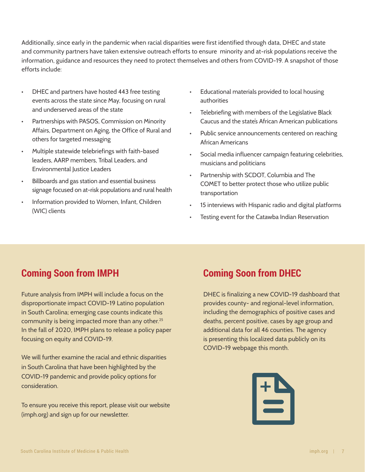Additionally, since early in the pandemic when racial disparities were first identified through data, DHEC and state and community partners have taken extensive outreach efforts to ensure minority and at-risk populations receive the information, guidance and resources they need to protect themselves and others from COVID-19. A snapshot of those efforts include:

- DHEC and partners have hosted 443 free testing events across the state since May, focusing on rural and underserved areas of the state
- Partnerships with PASOS, Commission on Minority Affairs, Department on Aging, the Office of Rural and others for targeted messaging
- Multiple statewide telebriefings with faith-based leaders, AARP members, Tribal Leaders, and Environmental Justice Leaders
- Billboards and gas station and essential business signage focused on at-risk populations and rural health
- Information provided to Women, Infant, Children (WIC) clients
- Educational materials provided to local housing authorities
- Telebriefing with members of the Legislative Black Caucus and the state's African American publications
- Public service announcements centered on reaching African Americans
- Social media influencer campaign featuring celebrities, musicians and politicians
- Partnership with SCDOT, Columbia and The COMET to better protect those who utilize public transportation
- 15 interviews with Hispanic radio and digital platforms
- Testing event for the Catawba Indian Reservation

# **Coming Soon from IMPH Coming Soon from DHEC**

Future analysis from IMPH will include a focus on the disproportionate impact COVID-19 Latino population in South Carolina; emerging case counts indicate this community is being impacted more than any other.<sup>25</sup> In the fall of 2020, IMPH plans to release a policy paper focusing on equity and COVID-19.

We will further examine the racial and ethnic disparities in South Carolina that have been highlighted by the COVID-19 pandemic and provide policy options for consideration.

To ensure you receive this report, please visit our website (imph.org) and sign up for our newsletter.

DHEC is finalizing a new COVID-19 dashboard that provides county- and regional-level information, including the demographics of positive cases and deaths, percent positive, cases by age group and additional data for all 46 counties. The agency is presenting this localized data publicly on its COVID-19 webpage this month.